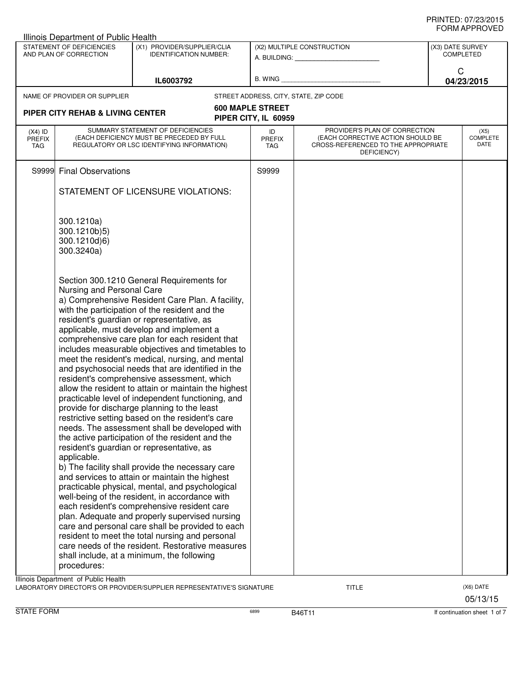|                                   | Illinois Department of Public Health                     |                                                                                                                                                                                                                                                                                                                                                                                                                                                                                                                                                                                                                                                                                                                                                                                                                                                                                                                                                                                                                                                                                                                                                                                                                                                                                                                                                                                              |                                                         |                                                                                                                          |                                                         |                                 |
|-----------------------------------|----------------------------------------------------------|----------------------------------------------------------------------------------------------------------------------------------------------------------------------------------------------------------------------------------------------------------------------------------------------------------------------------------------------------------------------------------------------------------------------------------------------------------------------------------------------------------------------------------------------------------------------------------------------------------------------------------------------------------------------------------------------------------------------------------------------------------------------------------------------------------------------------------------------------------------------------------------------------------------------------------------------------------------------------------------------------------------------------------------------------------------------------------------------------------------------------------------------------------------------------------------------------------------------------------------------------------------------------------------------------------------------------------------------------------------------------------------------|---------------------------------------------------------|--------------------------------------------------------------------------------------------------------------------------|---------------------------------------------------------|---------------------------------|
|                                   | STATEMENT OF DEFICIENCIES<br>AND PLAN OF CORRECTION      | (X1) PROVIDER/SUPPLIER/CLIA<br><b>IDENTIFICATION NUMBER:</b>                                                                                                                                                                                                                                                                                                                                                                                                                                                                                                                                                                                                                                                                                                                                                                                                                                                                                                                                                                                                                                                                                                                                                                                                                                                                                                                                 | (X2) MULTIPLE CONSTRUCTION<br>A. BUILDING: A. BUILDING: |                                                                                                                          | (X3) DATE SURVEY<br><b>COMPLETED</b><br>C<br>04/23/2015 |                                 |
|                                   |                                                          | IL6003792                                                                                                                                                                                                                                                                                                                                                                                                                                                                                                                                                                                                                                                                                                                                                                                                                                                                                                                                                                                                                                                                                                                                                                                                                                                                                                                                                                                    | B. WING                                                 |                                                                                                                          |                                                         |                                 |
|                                   | NAME OF PROVIDER OR SUPPLIER                             |                                                                                                                                                                                                                                                                                                                                                                                                                                                                                                                                                                                                                                                                                                                                                                                                                                                                                                                                                                                                                                                                                                                                                                                                                                                                                                                                                                                              |                                                         | STREET ADDRESS, CITY, STATE, ZIP CODE                                                                                    |                                                         |                                 |
|                                   |                                                          |                                                                                                                                                                                                                                                                                                                                                                                                                                                                                                                                                                                                                                                                                                                                                                                                                                                                                                                                                                                                                                                                                                                                                                                                                                                                                                                                                                                              | <b>600 MAPLE STREET</b>                                 |                                                                                                                          |                                                         |                                 |
|                                   | <b>PIPER CITY REHAB &amp; LIVING CENTER</b>              |                                                                                                                                                                                                                                                                                                                                                                                                                                                                                                                                                                                                                                                                                                                                                                                                                                                                                                                                                                                                                                                                                                                                                                                                                                                                                                                                                                                              | PIPER CITY, IL 60959                                    |                                                                                                                          |                                                         |                                 |
| $(X4)$ ID<br><b>PREFIX</b><br>TAG |                                                          | SUMMARY STATEMENT OF DEFICIENCIES<br>(EACH DEFICIENCY MUST BE PRECEDED BY FULL<br>REGULATORY OR LSC IDENTIFYING INFORMATION)                                                                                                                                                                                                                                                                                                                                                                                                                                                                                                                                                                                                                                                                                                                                                                                                                                                                                                                                                                                                                                                                                                                                                                                                                                                                 | ID<br><b>PREFIX</b><br><b>TAG</b>                       | PROVIDER'S PLAN OF CORRECTION<br>(EACH CORRECTIVE ACTION SHOULD BE<br>CROSS-REFERENCED TO THE APPROPRIATE<br>DEFICIENCY) |                                                         | (X5)<br><b>COMPLETE</b><br>DATE |
| S9999                             | <b>Final Observations</b>                                |                                                                                                                                                                                                                                                                                                                                                                                                                                                                                                                                                                                                                                                                                                                                                                                                                                                                                                                                                                                                                                                                                                                                                                                                                                                                                                                                                                                              | S9999                                                   |                                                                                                                          |                                                         |                                 |
|                                   |                                                          | STATEMENT OF LICENSURE VIOLATIONS:                                                                                                                                                                                                                                                                                                                                                                                                                                                                                                                                                                                                                                                                                                                                                                                                                                                                                                                                                                                                                                                                                                                                                                                                                                                                                                                                                           |                                                         |                                                                                                                          |                                                         |                                 |
|                                   | 300.1210a)<br>300.1210b)5)<br>300.1210d)6)<br>300.3240a) |                                                                                                                                                                                                                                                                                                                                                                                                                                                                                                                                                                                                                                                                                                                                                                                                                                                                                                                                                                                                                                                                                                                                                                                                                                                                                                                                                                                              |                                                         |                                                                                                                          |                                                         |                                 |
|                                   | Nursing and Personal Care<br>applicable.<br>procedures:  | Section 300.1210 General Requirements for<br>a) Comprehensive Resident Care Plan. A facility,<br>with the participation of the resident and the<br>resident's guardian or representative, as<br>applicable, must develop and implement a<br>comprehensive care plan for each resident that<br>includes measurable objectives and timetables to<br>meet the resident's medical, nursing, and mental<br>and psychosocial needs that are identified in the<br>resident's comprehensive assessment, which<br>allow the resident to attain or maintain the highest<br>practicable level of independent functioning, and<br>provide for discharge planning to the least<br>restrictive setting based on the resident's care<br>needs. The assessment shall be developed with<br>the active participation of the resident and the<br>resident's guardian or representative, as<br>b) The facility shall provide the necessary care<br>and services to attain or maintain the highest<br>practicable physical, mental, and psychological<br>well-being of the resident, in accordance with<br>each resident's comprehensive resident care<br>plan. Adequate and properly supervised nursing<br>care and personal care shall be provided to each<br>resident to meet the total nursing and personal<br>care needs of the resident. Restorative measures<br>shall include, at a minimum, the following |                                                         |                                                                                                                          |                                                         |                                 |
|                                   | Illinois Department of Public Health                     | LABORATORY DIRECTOR'S OR PROVIDER/SUPPLIER REPRESENTATIVE'S SIGNATURE                                                                                                                                                                                                                                                                                                                                                                                                                                                                                                                                                                                                                                                                                                                                                                                                                                                                                                                                                                                                                                                                                                                                                                                                                                                                                                                        |                                                         | <b>TITLE</b>                                                                                                             |                                                         | (X6) DATE<br>05/13/15           |

STATE FORM **EXAMPLE FORM** 6899 **B46T11 B46T11 B46T11 If continuation sheet 1 of 7**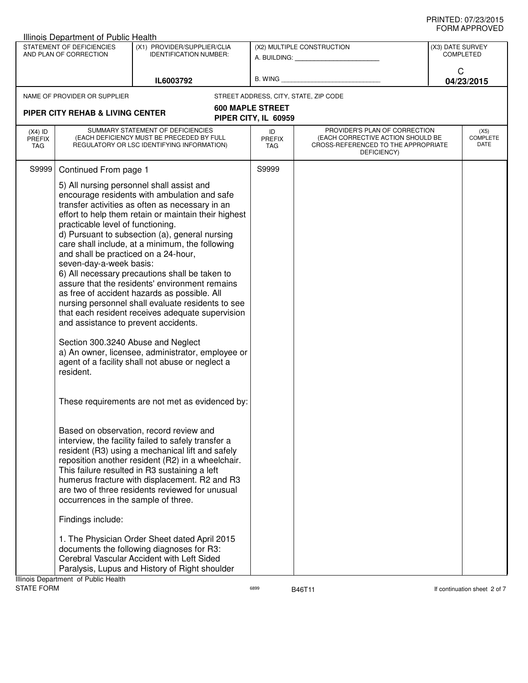| Illinois Department of Public Health |                                                                                                                                                                                                                                    |                                                                                                                                                                                                                                                                                                                                                                                                                                                                                                                                                                                                                                                                                 |                                                 |                                                                                                                          |                               |                                 |
|--------------------------------------|------------------------------------------------------------------------------------------------------------------------------------------------------------------------------------------------------------------------------------|---------------------------------------------------------------------------------------------------------------------------------------------------------------------------------------------------------------------------------------------------------------------------------------------------------------------------------------------------------------------------------------------------------------------------------------------------------------------------------------------------------------------------------------------------------------------------------------------------------------------------------------------------------------------------------|-------------------------------------------------|--------------------------------------------------------------------------------------------------------------------------|-------------------------------|---------------------------------|
|                                      | STATEMENT OF DEFICIENCIES<br>AND PLAN OF CORRECTION                                                                                                                                                                                | (X1) PROVIDER/SUPPLIER/CLIA<br><b>IDENTIFICATION NUMBER:</b>                                                                                                                                                                                                                                                                                                                                                                                                                                                                                                                                                                                                                    |                                                 | (X2) MULTIPLE CONSTRUCTION                                                                                               | (X3) DATE SURVEY<br>COMPLETED |                                 |
|                                      |                                                                                                                                                                                                                                    | IL6003792                                                                                                                                                                                                                                                                                                                                                                                                                                                                                                                                                                                                                                                                       | $B.$ WING $\_$                                  |                                                                                                                          | C                             | 04/23/2015                      |
|                                      | NAME OF PROVIDER OR SUPPLIER                                                                                                                                                                                                       |                                                                                                                                                                                                                                                                                                                                                                                                                                                                                                                                                                                                                                                                                 |                                                 | STREET ADDRESS, CITY, STATE, ZIP CODE                                                                                    |                               |                                 |
|                                      | <b>PIPER CITY REHAB &amp; LIVING CENTER</b>                                                                                                                                                                                        |                                                                                                                                                                                                                                                                                                                                                                                                                                                                                                                                                                                                                                                                                 | <b>600 MAPLE STREET</b><br>PIPER CITY, IL 60959 |                                                                                                                          |                               |                                 |
| $(X4)$ ID<br><b>PREFIX</b><br>TAG    |                                                                                                                                                                                                                                    | SUMMARY STATEMENT OF DEFICIENCIES<br>(EACH DEFICIENCY MUST BE PRECEDED BY FULL<br>REGULATORY OR LSC IDENTIFYING INFORMATION)                                                                                                                                                                                                                                                                                                                                                                                                                                                                                                                                                    | ID<br><b>PREFIX</b><br><b>TAG</b>               | PROVIDER'S PLAN OF CORRECTION<br>(EACH CORRECTIVE ACTION SHOULD BE<br>CROSS-REFERENCED TO THE APPROPRIATE<br>DEFICIENCY) |                               | (X5)<br><b>COMPLETE</b><br>DATE |
| S9999                                | Continued From page 1                                                                                                                                                                                                              |                                                                                                                                                                                                                                                                                                                                                                                                                                                                                                                                                                                                                                                                                 | S9999                                           |                                                                                                                          |                               |                                 |
|                                      | practicable level of functioning.<br>and shall be practiced on a 24-hour,<br>seven-day-a-week basis:<br>and assistance to prevent accidents.<br>Section 300.3240 Abuse and Neglect<br>resident.                                    | 5) All nursing personnel shall assist and<br>encourage residents with ambulation and safe<br>transfer activities as often as necessary in an<br>effort to help them retain or maintain their highest<br>d) Pursuant to subsection (a), general nursing<br>care shall include, at a minimum, the following<br>6) All necessary precautions shall be taken to<br>assure that the residents' environment remains<br>as free of accident hazards as possible. All<br>nursing personnel shall evaluate residents to see<br>that each resident receives adequate supervision<br>a) An owner, licensee, administrator, employee or<br>agent of a facility shall not abuse or neglect a |                                                 |                                                                                                                          |                               |                                 |
|                                      |                                                                                                                                                                                                                                    | These requirements are not met as evidenced by:                                                                                                                                                                                                                                                                                                                                                                                                                                                                                                                                                                                                                                 |                                                 |                                                                                                                          |                               |                                 |
|                                      | occurrences in the sample of three.                                                                                                                                                                                                | Based on observation, record review and<br>interview, the facility failed to safely transfer a<br>resident (R3) using a mechanical lift and safely<br>reposition another resident (R2) in a wheelchair.<br>This failure resulted in R3 sustaining a left<br>humerus fracture with displacement. R2 and R3<br>are two of three residents reviewed for unusual                                                                                                                                                                                                                                                                                                                    |                                                 |                                                                                                                          |                               |                                 |
|                                      | Findings include:                                                                                                                                                                                                                  |                                                                                                                                                                                                                                                                                                                                                                                                                                                                                                                                                                                                                                                                                 |                                                 |                                                                                                                          |                               |                                 |
|                                      | 1. The Physician Order Sheet dated April 2015<br>documents the following diagnoses for R3:<br>Cerebral Vascular Accident with Left Sided<br>Paralysis, Lupus and History of Right shoulder<br>Ilinois Denartment, of Public Health |                                                                                                                                                                                                                                                                                                                                                                                                                                                                                                                                                                                                                                                                                 |                                                 |                                                                                                                          |                               |                                 |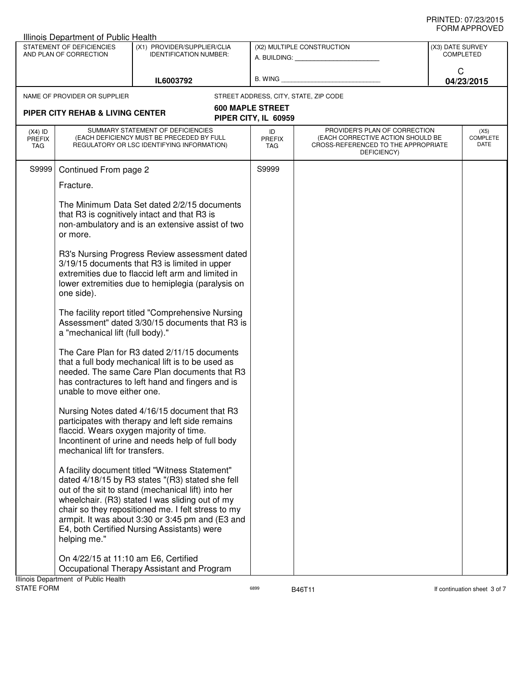| Illinois Department of Public Health                |                                                                              |                                                                                                                                                                                                                                                                                                                                                                      |                                                 |                                                                                                                          |                  |                                 |
|-----------------------------------------------------|------------------------------------------------------------------------------|----------------------------------------------------------------------------------------------------------------------------------------------------------------------------------------------------------------------------------------------------------------------------------------------------------------------------------------------------------------------|-------------------------------------------------|--------------------------------------------------------------------------------------------------------------------------|------------------|---------------------------------|
| STATEMENT OF DEFICIENCIES<br>AND PLAN OF CORRECTION |                                                                              | (X1) PROVIDER/SUPPLIER/CLIA<br><b>IDENTIFICATION NUMBER:</b>                                                                                                                                                                                                                                                                                                         |                                                 | (X2) MULTIPLE CONSTRUCTION<br>A. BUILDING: A. BUILDING:                                                                  | (X3) DATE SURVEY | <b>COMPLETED</b>                |
|                                                     |                                                                              | IL6003792                                                                                                                                                                                                                                                                                                                                                            | B. WING                                         |                                                                                                                          | C                | 04/23/2015                      |
|                                                     | NAME OF PROVIDER OR SUPPLIER                                                 |                                                                                                                                                                                                                                                                                                                                                                      |                                                 | STREET ADDRESS, CITY, STATE, ZIP CODE                                                                                    |                  |                                 |
|                                                     | <b>PIPER CITY REHAB &amp; LIVING CENTER</b>                                  |                                                                                                                                                                                                                                                                                                                                                                      | <b>600 MAPLE STREET</b><br>PIPER CITY, IL 60959 |                                                                                                                          |                  |                                 |
| $(X4)$ ID<br><b>PREFIX</b><br><b>TAG</b>            |                                                                              | SUMMARY STATEMENT OF DEFICIENCIES<br>(EACH DEFICIENCY MUST BE PRECEDED BY FULL<br>REGULATORY OR LSC IDENTIFYING INFORMATION)                                                                                                                                                                                                                                         | ID<br><b>PREFIX</b><br><b>TAG</b>               | PROVIDER'S PLAN OF CORRECTION<br>(EACH CORRECTIVE ACTION SHOULD BE<br>CROSS-REFERENCED TO THE APPROPRIATE<br>DEFICIENCY) |                  | (X5)<br><b>COMPLETE</b><br>DATE |
| S9999                                               | Continued From page 2                                                        |                                                                                                                                                                                                                                                                                                                                                                      | S9999                                           |                                                                                                                          |                  |                                 |
|                                                     | Fracture.                                                                    |                                                                                                                                                                                                                                                                                                                                                                      |                                                 |                                                                                                                          |                  |                                 |
|                                                     | or more.                                                                     | The Minimum Data Set dated 2/2/15 documents<br>that R3 is cognitively intact and that R3 is<br>non-ambulatory and is an extensive assist of two                                                                                                                                                                                                                      |                                                 |                                                                                                                          |                  |                                 |
|                                                     | one side).                                                                   | R3's Nursing Progress Review assessment dated<br>3/19/15 documents that R3 is limited in upper<br>extremities due to flaccid left arm and limited in<br>lower extremities due to hemiplegia (paralysis on                                                                                                                                                            |                                                 |                                                                                                                          |                  |                                 |
|                                                     | a "mechanical lift (full body)."                                             | The facility report titled "Comprehensive Nursing<br>Assessment" dated 3/30/15 documents that R3 is                                                                                                                                                                                                                                                                  |                                                 |                                                                                                                          |                  |                                 |
|                                                     | unable to move either one.                                                   | The Care Plan for R3 dated 2/11/15 documents<br>that a full body mechanical lift is to be used as<br>needed. The same Care Plan documents that R3<br>has contractures to left hand and fingers and is                                                                                                                                                                |                                                 |                                                                                                                          |                  |                                 |
|                                                     | mechanical lift for transfers.                                               | Nursing Notes dated 4/16/15 document that R3<br>participates with therapy and left side remains<br>flaccid. Wears oxygen majority of time.<br>Incontinent of urine and needs help of full body                                                                                                                                                                       |                                                 |                                                                                                                          |                  |                                 |
|                                                     | helping me."                                                                 | A facility document titled "Witness Statement"<br>dated 4/18/15 by R3 states "(R3) stated she fell<br>out of the sit to stand (mechanical lift) into her<br>wheelchair. (R3) stated I was sliding out of my<br>chair so they repositioned me. I felt stress to my<br>armpit. It was about 3:30 or 3:45 pm and (E3 and<br>E4, both Certified Nursing Assistants) were |                                                 |                                                                                                                          |                  |                                 |
|                                                     | On 4/22/15 at 11:10 am E6, Certified<br>Illinois Department of Public Health | Occupational Therapy Assistant and Program                                                                                                                                                                                                                                                                                                                           |                                                 |                                                                                                                          |                  |                                 |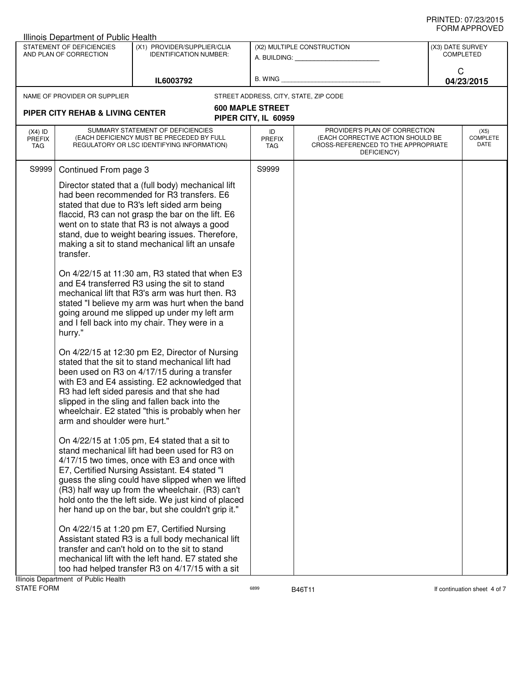|                                                                                                                     | Illinois Department of Public Health                                                                                                                    |                                                                                                                                                                                                                                                                                                                                                                                                                                                                                                                                                                                                                                                                                                                                                                                                                                                                                                                            |                                                 |                                                                                                                          |                                 |
|---------------------------------------------------------------------------------------------------------------------|---------------------------------------------------------------------------------------------------------------------------------------------------------|----------------------------------------------------------------------------------------------------------------------------------------------------------------------------------------------------------------------------------------------------------------------------------------------------------------------------------------------------------------------------------------------------------------------------------------------------------------------------------------------------------------------------------------------------------------------------------------------------------------------------------------------------------------------------------------------------------------------------------------------------------------------------------------------------------------------------------------------------------------------------------------------------------------------------|-------------------------------------------------|--------------------------------------------------------------------------------------------------------------------------|---------------------------------|
| STATEMENT OF DEFICIENCIES<br>(X1) PROVIDER/SUPPLIER/CLIA<br>AND PLAN OF CORRECTION<br><b>IDENTIFICATION NUMBER:</b> |                                                                                                                                                         | (X2) MULTIPLE CONSTRUCTION<br>A. BUILDING: A. BUILDING:                                                                                                                                                                                                                                                                                                                                                                                                                                                                                                                                                                                                                                                                                                                                                                                                                                                                    |                                                 | (X3) DATE SURVEY<br><b>COMPLETED</b>                                                                                     |                                 |
| IL6003792                                                                                                           |                                                                                                                                                         |                                                                                                                                                                                                                                                                                                                                                                                                                                                                                                                                                                                                                                                                                                                                                                                                                                                                                                                            | B. WING <b>Example 2008</b>                     | C<br>04/23/2015                                                                                                          |                                 |
|                                                                                                                     | NAME OF PROVIDER OR SUPPLIER                                                                                                                            |                                                                                                                                                                                                                                                                                                                                                                                                                                                                                                                                                                                                                                                                                                                                                                                                                                                                                                                            |                                                 | STREET ADDRESS, CITY, STATE, ZIP CODE                                                                                    |                                 |
|                                                                                                                     | <b>PIPER CITY REHAB &amp; LIVING CENTER</b>                                                                                                             |                                                                                                                                                                                                                                                                                                                                                                                                                                                                                                                                                                                                                                                                                                                                                                                                                                                                                                                            | <b>600 MAPLE STREET</b><br>PIPER CITY, IL 60959 |                                                                                                                          |                                 |
| $(X4)$ ID<br><b>PREFIX</b><br>TAG                                                                                   |                                                                                                                                                         | SUMMARY STATEMENT OF DEFICIENCIES<br>(EACH DEFICIENCY MUST BE PRECEDED BY FULL<br>REGULATORY OR LSC IDENTIFYING INFORMATION)                                                                                                                                                                                                                                                                                                                                                                                                                                                                                                                                                                                                                                                                                                                                                                                               | ID<br><b>PREFIX</b><br>TAG                      | PROVIDER'S PLAN OF CORRECTION<br>(EACH CORRECTIVE ACTION SHOULD BE<br>CROSS-REFERENCED TO THE APPROPRIATE<br>DEFICIENCY) | (X5)<br><b>COMPLETE</b><br>DATE |
| S9999                                                                                                               | Continued From page 3                                                                                                                                   |                                                                                                                                                                                                                                                                                                                                                                                                                                                                                                                                                                                                                                                                                                                                                                                                                                                                                                                            | S9999                                           |                                                                                                                          |                                 |
|                                                                                                                     | transfer.<br>hurry."                                                                                                                                    | Director stated that a (full body) mechanical lift<br>had been recommended for R3 transfers. E6<br>stated that due to R3's left sided arm being<br>flaccid, R3 can not grasp the bar on the lift. E6<br>went on to state that R3 is not always a good<br>stand, due to weight bearing issues. Therefore,<br>making a sit to stand mechanical lift an unsafe<br>On 4/22/15 at 11:30 am, R3 stated that when E3<br>and E4 transferred R3 using the sit to stand<br>mechanical lift that R3's arm was hurt then. R3<br>stated "I believe my arm was hurt when the band<br>going around me slipped up under my left arm<br>and I fell back into my chair. They were in a<br>On 4/22/15 at 12:30 pm E2, Director of Nursing<br>stated that the sit to stand mechanical lift had<br>been used on R3 on 4/17/15 during a transfer<br>with E3 and E4 assisting. E2 acknowledged that<br>R3 had left sided paresis and that she had |                                                 |                                                                                                                          |                                 |
|                                                                                                                     | arm and shoulder were hurt."                                                                                                                            | slipped in the sling and fallen back into the<br>wheelchair. E2 stated "this is probably when her<br>On 4/22/15 at 1:05 pm, E4 stated that a sit to<br>stand mechanical lift had been used for R3 on<br>4/17/15 two times, once with E3 and once with<br>E7, Certified Nursing Assistant. E4 stated "I                                                                                                                                                                                                                                                                                                                                                                                                                                                                                                                                                                                                                     |                                                 |                                                                                                                          |                                 |
|                                                                                                                     |                                                                                                                                                         | guess the sling could have slipped when we lifted<br>(R3) half way up from the wheelchair. (R3) can't<br>hold onto the the left side. We just kind of placed<br>her hand up on the bar, but she couldn't grip it."<br>On 4/22/15 at 1:20 pm E7, Certified Nursing<br>Assistant stated R3 is a full body mechanical lift                                                                                                                                                                                                                                                                                                                                                                                                                                                                                                                                                                                                    |                                                 |                                                                                                                          |                                 |
| Ilinois Denartment of Public Health                                                                                 | transfer and can't hold on to the sit to stand<br>mechanical lift with the left hand. E7 stated she<br>too had helped transfer R3 on 4/17/15 with a sit |                                                                                                                                                                                                                                                                                                                                                                                                                                                                                                                                                                                                                                                                                                                                                                                                                                                                                                                            |                                                 |                                                                                                                          |                                 |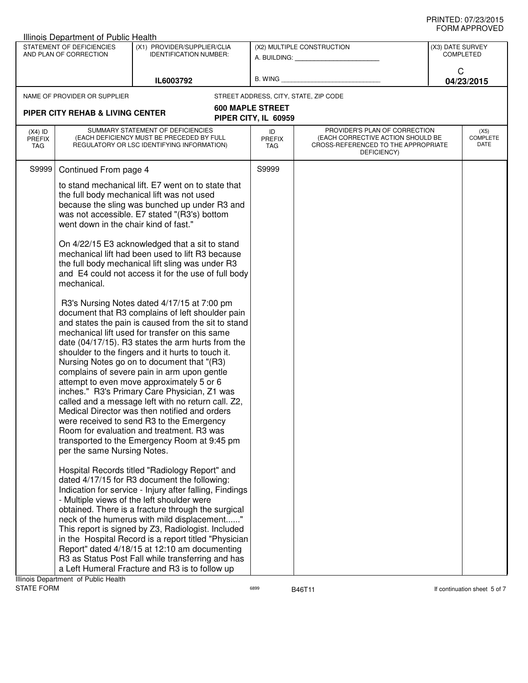|                                                                                                                     | <b>Illinois Department of Public Health</b>                                         |                                                                                                                                                                                                                                                                                                                                                                                                                                                                                                                                                                                                                                                                                                                                                                                                                                                                                                                                                                                                                                                                                                                                                                                                                                                                                                                                                                                                                                                                                                                                                                                                                   |                                                 |                                                                                                                          |  |                                 |
|---------------------------------------------------------------------------------------------------------------------|-------------------------------------------------------------------------------------|-------------------------------------------------------------------------------------------------------------------------------------------------------------------------------------------------------------------------------------------------------------------------------------------------------------------------------------------------------------------------------------------------------------------------------------------------------------------------------------------------------------------------------------------------------------------------------------------------------------------------------------------------------------------------------------------------------------------------------------------------------------------------------------------------------------------------------------------------------------------------------------------------------------------------------------------------------------------------------------------------------------------------------------------------------------------------------------------------------------------------------------------------------------------------------------------------------------------------------------------------------------------------------------------------------------------------------------------------------------------------------------------------------------------------------------------------------------------------------------------------------------------------------------------------------------------------------------------------------------------|-------------------------------------------------|--------------------------------------------------------------------------------------------------------------------------|--|---------------------------------|
| STATEMENT OF DEFICIENCIES<br>(X1) PROVIDER/SUPPLIER/CLIA<br>AND PLAN OF CORRECTION<br><b>IDENTIFICATION NUMBER:</b> |                                                                                     | (X2) MULTIPLE CONSTRUCTION<br>A. BUILDING: A. BUILDING:                                                                                                                                                                                                                                                                                                                                                                                                                                                                                                                                                                                                                                                                                                                                                                                                                                                                                                                                                                                                                                                                                                                                                                                                                                                                                                                                                                                                                                                                                                                                                           |                                                 | (X3) DATE SURVEY<br><b>COMPLETED</b>                                                                                     |  |                                 |
| IL6003792                                                                                                           |                                                                                     |                                                                                                                                                                                                                                                                                                                                                                                                                                                                                                                                                                                                                                                                                                                                                                                                                                                                                                                                                                                                                                                                                                                                                                                                                                                                                                                                                                                                                                                                                                                                                                                                                   | B. WING <b>Example 20</b>                       | C<br>04/23/2015                                                                                                          |  |                                 |
|                                                                                                                     | NAME OF PROVIDER OR SUPPLIER                                                        |                                                                                                                                                                                                                                                                                                                                                                                                                                                                                                                                                                                                                                                                                                                                                                                                                                                                                                                                                                                                                                                                                                                                                                                                                                                                                                                                                                                                                                                                                                                                                                                                                   |                                                 | STREET ADDRESS, CITY, STATE, ZIP CODE                                                                                    |  |                                 |
|                                                                                                                     | PIPER CITY REHAB & LIVING CENTER                                                    |                                                                                                                                                                                                                                                                                                                                                                                                                                                                                                                                                                                                                                                                                                                                                                                                                                                                                                                                                                                                                                                                                                                                                                                                                                                                                                                                                                                                                                                                                                                                                                                                                   | <b>600 MAPLE STREET</b><br>PIPER CITY, IL 60959 |                                                                                                                          |  |                                 |
| $(X4)$ ID<br><b>PREFIX</b><br>TAG                                                                                   |                                                                                     | SUMMARY STATEMENT OF DEFICIENCIES<br>(EACH DEFICIENCY MUST BE PRECEDED BY FULL<br>REGULATORY OR LSC IDENTIFYING INFORMATION)                                                                                                                                                                                                                                                                                                                                                                                                                                                                                                                                                                                                                                                                                                                                                                                                                                                                                                                                                                                                                                                                                                                                                                                                                                                                                                                                                                                                                                                                                      | ID<br><b>PREFIX</b><br><b>TAG</b>               | PROVIDER'S PLAN OF CORRECTION<br>(EACH CORRECTIVE ACTION SHOULD BE<br>CROSS-REFERENCED TO THE APPROPRIATE<br>DEFICIENCY) |  | (X5)<br><b>COMPLETE</b><br>DATE |
| S9999                                                                                                               | Continued From page 4                                                               |                                                                                                                                                                                                                                                                                                                                                                                                                                                                                                                                                                                                                                                                                                                                                                                                                                                                                                                                                                                                                                                                                                                                                                                                                                                                                                                                                                                                                                                                                                                                                                                                                   | S9999                                           |                                                                                                                          |  |                                 |
|                                                                                                                     | went down in the chair kind of fast."<br>mechanical.<br>per the same Nursing Notes. | to stand mechanical lift. E7 went on to state that<br>the full body mechanical lift was not used<br>because the sling was bunched up under R3 and<br>was not accessible. E7 stated "(R3's) bottom<br>On 4/22/15 E3 acknowledged that a sit to stand<br>mechanical lift had been used to lift R3 because<br>the full body mechanical lift sling was under R3<br>and E4 could not access it for the use of full body<br>R3's Nursing Notes dated 4/17/15 at 7:00 pm<br>document that R3 complains of left shoulder pain<br>and states the pain is caused from the sit to stand<br>mechanical lift used for transfer on this same<br>date (04/17/15). R3 states the arm hurts from the<br>shoulder to the fingers and it hurts to touch it.<br>Nursing Notes go on to document that "(R3)<br>complains of severe pain in arm upon gentle<br>attempt to even move approximately 5 or 6<br>inches." R3's Primary Care Physician, Z1 was<br>called and a message left with no return call. Z2,<br>Medical Director was then notified and orders<br>were received to send R3 to the Emergency<br>Room for evaluation and treatment. R3 was<br>transported to the Emergency Room at 9:45 pm<br>Hospital Records titled "Radiology Report" and<br>dated 4/17/15 for R3 document the following:<br>Indication for service - Injury after falling, Findings<br>- Multiple views of the left shoulder were<br>obtained. There is a fracture through the surgical<br>neck of the humerus with mild displacement"<br>This report is signed by Z3, Radiologist. Included<br>in the Hospital Record is a report titled "Physician |                                                 |                                                                                                                          |  |                                 |
|                                                                                                                     |                                                                                     | Report" dated 4/18/15 at 12:10 am documenting<br>R3 as Status Post Fall while transferring and has<br>a Left Humeral Fracture and R3 is to follow up                                                                                                                                                                                                                                                                                                                                                                                                                                                                                                                                                                                                                                                                                                                                                                                                                                                                                                                                                                                                                                                                                                                                                                                                                                                                                                                                                                                                                                                              |                                                 |                                                                                                                          |  |                                 |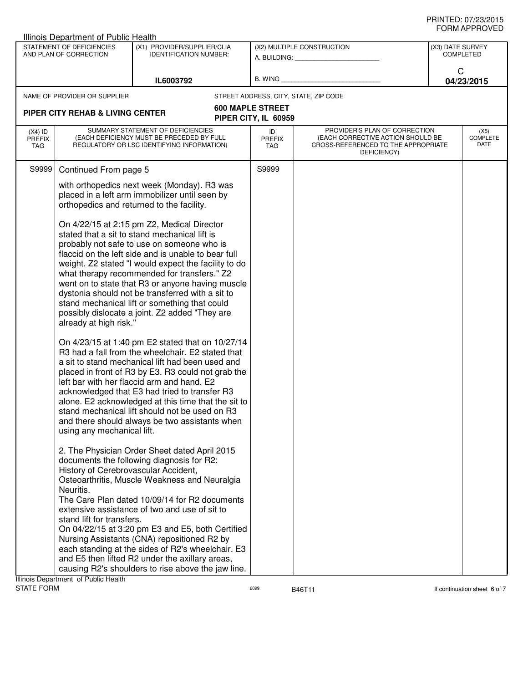|                                   | Illinois Department of Public Health                                           |                                                                                                                                                                                                                                                                                                                                                                                                                                                                                                                                                                                                                                                                                                                                                                                                                                                                                                                                                                                                                                                                                               |                                                         |                                                                                                                          |            |                                      |  |
|-----------------------------------|--------------------------------------------------------------------------------|-----------------------------------------------------------------------------------------------------------------------------------------------------------------------------------------------------------------------------------------------------------------------------------------------------------------------------------------------------------------------------------------------------------------------------------------------------------------------------------------------------------------------------------------------------------------------------------------------------------------------------------------------------------------------------------------------------------------------------------------------------------------------------------------------------------------------------------------------------------------------------------------------------------------------------------------------------------------------------------------------------------------------------------------------------------------------------------------------|---------------------------------------------------------|--------------------------------------------------------------------------------------------------------------------------|------------|--------------------------------------|--|
|                                   | STATEMENT OF DEFICIENCIES<br>AND PLAN OF CORRECTION                            | (X1) PROVIDER/SUPPLIER/CLIA<br><b>IDENTIFICATION NUMBER:</b>                                                                                                                                                                                                                                                                                                                                                                                                                                                                                                                                                                                                                                                                                                                                                                                                                                                                                                                                                                                                                                  | (X2) MULTIPLE CONSTRUCTION<br>A. BUILDING: A. BUILDING: |                                                                                                                          |            | (X3) DATE SURVEY<br><b>COMPLETED</b> |  |
| IL6003792                         |                                                                                |                                                                                                                                                                                                                                                                                                                                                                                                                                                                                                                                                                                                                                                                                                                                                                                                                                                                                                                                                                                                                                                                                               | B. WING <b>Example 2008</b>                             | C                                                                                                                        | 04/23/2015 |                                      |  |
|                                   | NAME OF PROVIDER OR SUPPLIER                                                   |                                                                                                                                                                                                                                                                                                                                                                                                                                                                                                                                                                                                                                                                                                                                                                                                                                                                                                                                                                                                                                                                                               |                                                         | STREET ADDRESS, CITY, STATE, ZIP CODE                                                                                    |            |                                      |  |
|                                   | PIPER CITY REHAB & LIVING CENTER                                               |                                                                                                                                                                                                                                                                                                                                                                                                                                                                                                                                                                                                                                                                                                                                                                                                                                                                                                                                                                                                                                                                                               | <b>600 MAPLE STREET</b><br>PIPER CITY, IL 60959         |                                                                                                                          |            |                                      |  |
| $(X4)$ ID<br><b>PREFIX</b><br>TAG |                                                                                | SUMMARY STATEMENT OF DEFICIENCIES<br>(EACH DEFICIENCY MUST BE PRECEDED BY FULL<br>REGULATORY OR LSC IDENTIFYING INFORMATION)                                                                                                                                                                                                                                                                                                                                                                                                                                                                                                                                                                                                                                                                                                                                                                                                                                                                                                                                                                  | ID<br><b>PREFIX</b><br>TAG                              | PROVIDER'S PLAN OF CORRECTION<br>(EACH CORRECTIVE ACTION SHOULD BE<br>CROSS-REFERENCED TO THE APPROPRIATE<br>DEFICIENCY) |            | (X5)<br><b>COMPLETE</b><br>DATE      |  |
| S9999                             | Continued From page 5                                                          |                                                                                                                                                                                                                                                                                                                                                                                                                                                                                                                                                                                                                                                                                                                                                                                                                                                                                                                                                                                                                                                                                               | S9999                                                   |                                                                                                                          |            |                                      |  |
|                                   |                                                                                | with orthopedics next week (Monday). R3 was<br>placed in a left arm immobilizer until seen by<br>orthopedics and returned to the facility.                                                                                                                                                                                                                                                                                                                                                                                                                                                                                                                                                                                                                                                                                                                                                                                                                                                                                                                                                    |                                                         |                                                                                                                          |            |                                      |  |
|                                   | already at high risk."<br>using any mechanical lift.                           | On 4/22/15 at 2:15 pm Z2, Medical Director<br>stated that a sit to stand mechanical lift is<br>probably not safe to use on someone who is<br>flaccid on the left side and is unable to bear full<br>weight. Z2 stated "I would expect the facility to do<br>what therapy recommended for transfers." Z2<br>went on to state that R3 or anyone having muscle<br>dystonia should not be transferred with a sit to<br>stand mechanical lift or something that could<br>possibly dislocate a joint. Z2 added "They are<br>On 4/23/15 at 1:40 pm E2 stated that on 10/27/14<br>R3 had a fall from the wheelchair. E2 stated that<br>a sit to stand mechanical lift had been used and<br>placed in front of R3 by E3. R3 could not grab the<br>left bar with her flaccid arm and hand. E2<br>acknowledged that E3 had tried to transfer R3<br>alone. E2 acknowledged at this time that the sit to<br>stand mechanical lift should not be used on R3<br>and there should always be two assistants when<br>2. The Physician Order Sheet dated April 2015<br>documents the following diagnosis for R2: |                                                         |                                                                                                                          |            |                                      |  |
|                                   | History of Cerebrovascular Accident,<br>Neuritis.<br>stand lift for transfers. | Osteoarthritis, Muscle Weakness and Neuralgia<br>The Care Plan dated 10/09/14 for R2 documents<br>extensive assistance of two and use of sit to<br>On 04/22/15 at 3:20 pm E3 and E5, both Certified<br>Nursing Assistants (CNA) repositioned R2 by<br>each standing at the sides of R2's wheelchair. E3                                                                                                                                                                                                                                                                                                                                                                                                                                                                                                                                                                                                                                                                                                                                                                                       |                                                         |                                                                                                                          |            |                                      |  |
|                                   | tracet of Dublic Hoolth                                                        | and E5 then lifted R2 under the axillary areas,<br>causing R2's shoulders to rise above the jaw line.                                                                                                                                                                                                                                                                                                                                                                                                                                                                                                                                                                                                                                                                                                                                                                                                                                                                                                                                                                                         |                                                         |                                                                                                                          |            |                                      |  |

Illinois Department of Public Health<br>STATE FORM

assets of the B46T11 and the Second Second Second Second Second Second Second Second Second Second Second Second Second Second Second Second Second Second Second Second Second Second Second Second Second Second Second Seco